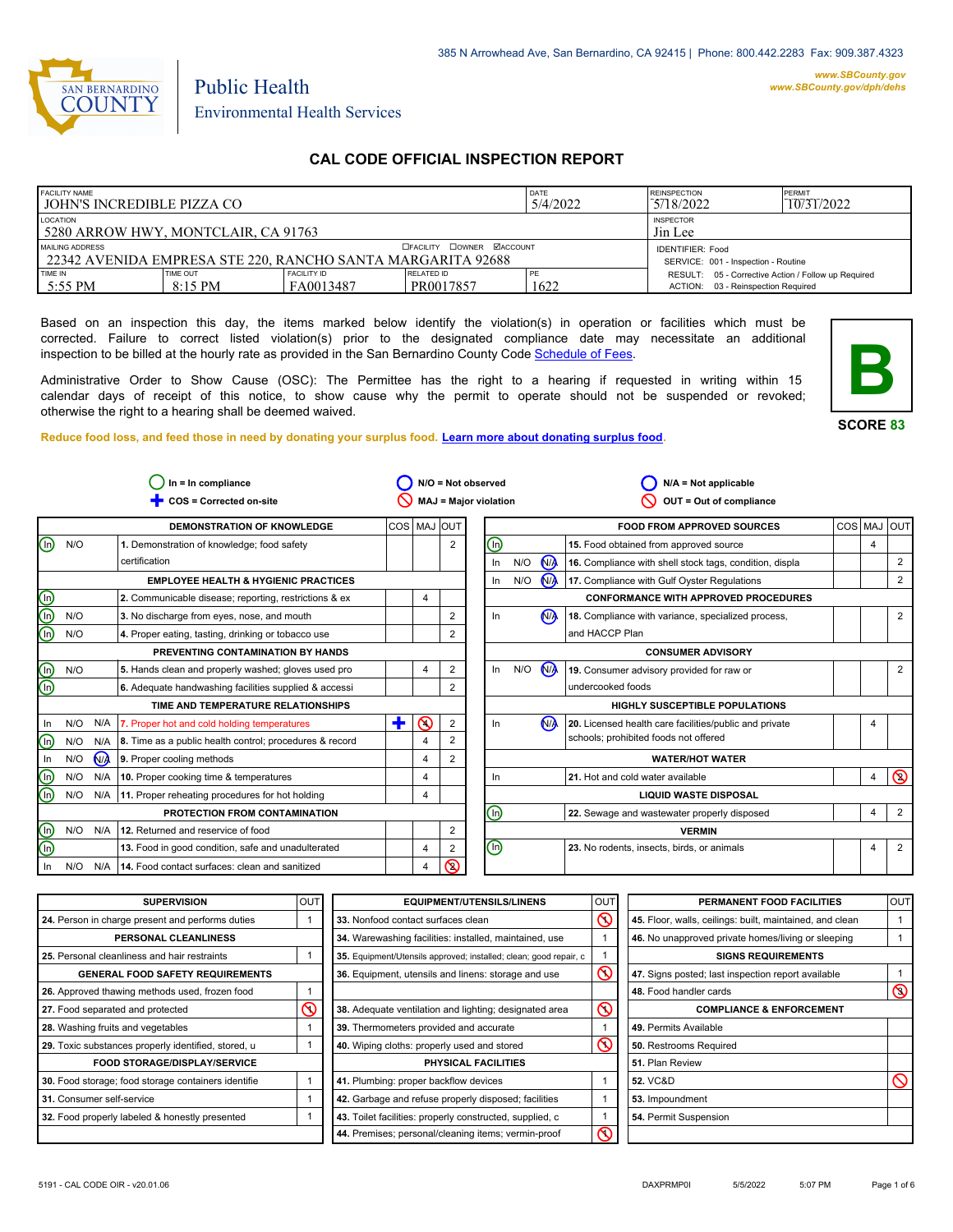

#### *www.SBCounty.gov [www.SBCounty.gov/dph/dehs](http://www.sbcounty.gov/dph/ehsportal)*

# Environmental Health Services

Public Health

# **CAL CODE OFFICIAL INSPECTION REPORT**

| <b>FACILITY NAME</b>                                                             |                 | <b>DATE</b>                                                    | <b>REINSPECTION</b> | PERMIT     |                                                     |  |
|----------------------------------------------------------------------------------|-----------------|----------------------------------------------------------------|---------------------|------------|-----------------------------------------------------|--|
| I JOHN'S INCREDIBLE PIZZA CO                                                     |                 | 5/4/2022                                                       | 5/18/2022           | 10/31/2022 |                                                     |  |
| LOCATION<br>5280 ARROW HWY, MONTCLAIR, CA 91763                                  |                 | <b>INSPECTOR</b><br>Jin Lee                                    |                     |            |                                                     |  |
| MAILING ADDRESS<br>  22342 AVENIDA EMPRESA STE 220. RANCHO SANTA MARGARITA 92688 |                 | <b>IDENTIFIER: Food</b><br>SERVICE: 001 - Inspection - Routine |                     |            |                                                     |  |
| TIME IN                                                                          | <b>TIME OUT</b> | <b>FACILITY ID</b>                                             | <b>RELATED ID</b>   | 1 PE       | RESULT: 05 - Corrective Action / Follow up Required |  |
| 5:55 PM                                                                          | 8:15 PM         | FA0013487                                                      | PR0017857           | 1622       | ACTION: 03 - Reinspection Required                  |  |

Based on an inspection this day, the items marked below identify the violation(s) in operation or facilities which must be corrected. Failure to correct listed violation(s) prior to the designated compliance date may necessitate an additional inspection to be billed at the hourly rate as provided in the San Bernardino County Co[de Schedule of Fees.](https://codelibrary.amlegal.com/codes/sanbernardino/latest/sanberncty_ca/0-0-0-122474#JD_16.0213B)

Administrative Order to Show Cause (OSC): The Permittee has the right to a hearing if requested in writing within 15 calendar days of receipt of this notice, to show cause why the permit to operate should not be suspended or revoked; otherwise the right to a hearing shall be deemed waived.

**SCORE 83**

**B**

**Reduce food loss, and feed those in need by donating your surplus f[ood. Learn more about donating surplus food.](https://wp.sbcounty.gov/dph/programs/ehs/charitable-food-service/)**

|                         |     |                | $In = In$ compliance                                    |   |                 |                  | N/O = Not observed    |                  |     |                | $N/A = Not applicable$                                  |                |                |
|-------------------------|-----|----------------|---------------------------------------------------------|---|-----------------|------------------|-----------------------|------------------|-----|----------------|---------------------------------------------------------|----------------|----------------|
|                         |     |                | COS = Corrected on-site                                 |   |                 |                  | MAJ = Major violation |                  |     |                | OUT = Out of compliance                                 |                |                |
|                         |     |                | <b>DEMONSTRATION OF KNOWLEDGE</b>                       |   | COS   MAJ   OUT |                  |                       |                  |     |                | <b>FOOD FROM APPROVED SOURCES</b>                       |                | COS MAJ OUT    |
| ⑯                       | N/O |                | 1. Demonstration of knowledge; food safety              |   |                 | $\overline{2}$   |                       | ⑯                |     |                | 15. Food obtained from approved source                  | 4              |                |
|                         |     |                | certification                                           |   |                 |                  |                       | In               | N/O | <b>NA</b>      | 16. Compliance with shell stock tags, condition, displa |                | $\overline{2}$ |
|                         |     |                | <b>EMPLOYEE HEALTH &amp; HYGIENIC PRACTICES</b>         |   |                 |                  |                       | In               | N/O | $N/\lambda$    | 17. Compliance with Gulf Oyster Regulations             |                | $\overline{2}$ |
| $\overline{\circ}$      |     |                | 2. Communicable disease; reporting, restrictions & ex   |   | 4               |                  |                       |                  |     |                | <b>CONFORMANCE WITH APPROVED PROCEDURES</b>             |                |                |
| டு                      | N/O |                | 3. No discharge from eyes, nose, and mouth              |   |                 | $\overline{2}$   |                       | In               |     | N <sub>A</sub> | 18. Compliance with variance, specialized process,      |                | $\overline{2}$ |
| බ                       | N/O |                | 4. Proper eating, tasting, drinking or tobacco use      |   |                 | $\overline{2}$   |                       |                  |     |                | and HACCP Plan                                          |                |                |
|                         |     |                | PREVENTING CONTAMINATION BY HANDS                       |   |                 |                  |                       |                  |     |                | <b>CONSUMER ADVISORY</b>                                |                |                |
| ⋒                       | N/O |                | 5. Hands clean and properly washed; gloves used pro     |   | 4               | $\boldsymbol{2}$ |                       | In.              | N/O | N              | 19. Consumer advisory provided for raw or               |                | $\overline{2}$ |
| ⊕                       |     |                | 6. Adequate handwashing facilities supplied & accessi   |   |                 | 2                |                       |                  |     |                | undercooked foods                                       |                |                |
|                         |     |                | TIME AND TEMPERATURE RELATIONSHIPS                      |   |                 |                  |                       |                  |     |                | <b>HIGHLY SUSCEPTIBLE POPULATIONS</b>                   |                |                |
| In                      | N/O | N/A            | 7. Proper hot and cold holding temperatures             | ٠ | $\circledcirc$  | $\overline{2}$   |                       | In               |     | N <sub>A</sub> | 20. Licensed health care facilities/public and private  | 4              |                |
| ⋒                       | N/O | N/A            | 8. Time as a public health control; procedures & record |   | 4               | 2                |                       |                  |     |                | schools; prohibited foods not offered                   |                |                |
| In                      | N/O | N <sub>A</sub> | 9. Proper cooling methods                               |   | 4               | $\overline{2}$   |                       |                  |     |                | <b>WATER/HOT WATER</b>                                  |                |                |
| ⋒                       | N/O | N/A            | 10. Proper cooking time & temperatures                  |   | 4               |                  |                       | In               |     |                | 21. Hot and cold water available                        | $\overline{4}$ | $\circledcirc$ |
| ⋒                       | N/O | N/A            | 11. Proper reheating procedures for hot holding         |   | $\overline{4}$  |                  |                       |                  |     |                | <b>LIQUID WASTE DISPOSAL</b>                            |                |                |
|                         |     |                | PROTECTION FROM CONTAMINATION                           |   |                 |                  |                       | ⋒                |     |                | 22. Sewage and wastewater properly disposed             | 4              | $\overline{2}$ |
| $\overline{\mathbb{O}}$ |     | N/O N/A        | 12. Returned and reservice of food                      |   |                 | 2                |                       |                  |     |                | <b>VERMIN</b>                                           |                |                |
| ⊕                       |     |                | 13. Food in good condition, safe and unadulterated      |   | $\overline{4}$  | 2                |                       | $\mathbb \Theta$ |     |                | 23. No rodents, insects, birds, or animals              | 4              | 2              |
| In                      | N/O | N/A            | 14. Food contact surfaces: clean and sanitized          |   | 4               | $\circledcirc$   |                       |                  |     |                |                                                         |                |                |

| <b>SUPERVISION</b>                                  | <b>OUT</b> | <b>EQUIPMENT/UTENSILS/LINENS</b>                                  | <b>OUT</b> | PERMANENT FOOD FACILITIES                                | <b>OUT</b>     |
|-----------------------------------------------------|------------|-------------------------------------------------------------------|------------|----------------------------------------------------------|----------------|
| 24. Person in charge present and performs duties    |            | 33. Nonfood contact surfaces clean                                | $\infty$   | 45. Floor, walls, ceilings: built, maintained, and clean |                |
| PERSONAL CLEANLINESS                                |            | 34. Warewashing facilities: installed, maintained, use            |            | 46. No unapproved private homes/living or sleeping       |                |
| 25. Personal cleanliness and hair restraints        |            | 35. Equipment/Utensils approved; installed; clean; good repair, c |            | <b>SIGNS REQUIREMENTS</b>                                |                |
| <b>GENERAL FOOD SAFETY REQUIREMENTS</b>             |            | 36. Equipment, utensils and linens: storage and use               | $\infty$   | 47. Signs posted; last inspection report available       |                |
| 26. Approved thawing methods used, frozen food      |            |                                                                   |            | 48. Food handler cards                                   | $\circledcirc$ |
| 27. Food separated and protected                    | ⋒          | 38. Adequate ventilation and lighting; designated area            | $\infty$   | <b>COMPLIANCE &amp; ENFORCEMENT</b>                      |                |
| 28. Washing fruits and vegetables                   |            | 39. Thermometers provided and accurate                            |            | 49. Permits Available                                    |                |
| 29. Toxic substances properly identified, stored, u |            | 40. Wiping cloths: properly used and stored                       | $\infty$   | 50. Restrooms Required                                   |                |
| <b>FOOD STORAGE/DISPLAY/SERVICE</b>                 |            | PHYSICAL FACILITIES                                               |            | 51. Plan Review                                          |                |
| 30. Food storage; food storage containers identifie |            | 41. Plumbing: proper backflow devices                             |            | <b>52. VC&amp;D</b>                                      |                |
| 31. Consumer self-service                           |            | 42. Garbage and refuse properly disposed; facilities              |            | 53. Impoundment                                          |                |
| 32. Food properly labeled & honestly presented      |            | 43. Toilet facilities: properly constructed, supplied, c          |            | 54. Permit Suspension                                    |                |
|                                                     |            | 44. Premises; personal/cleaning items; vermin-proof               | $\infty$   |                                                          |                |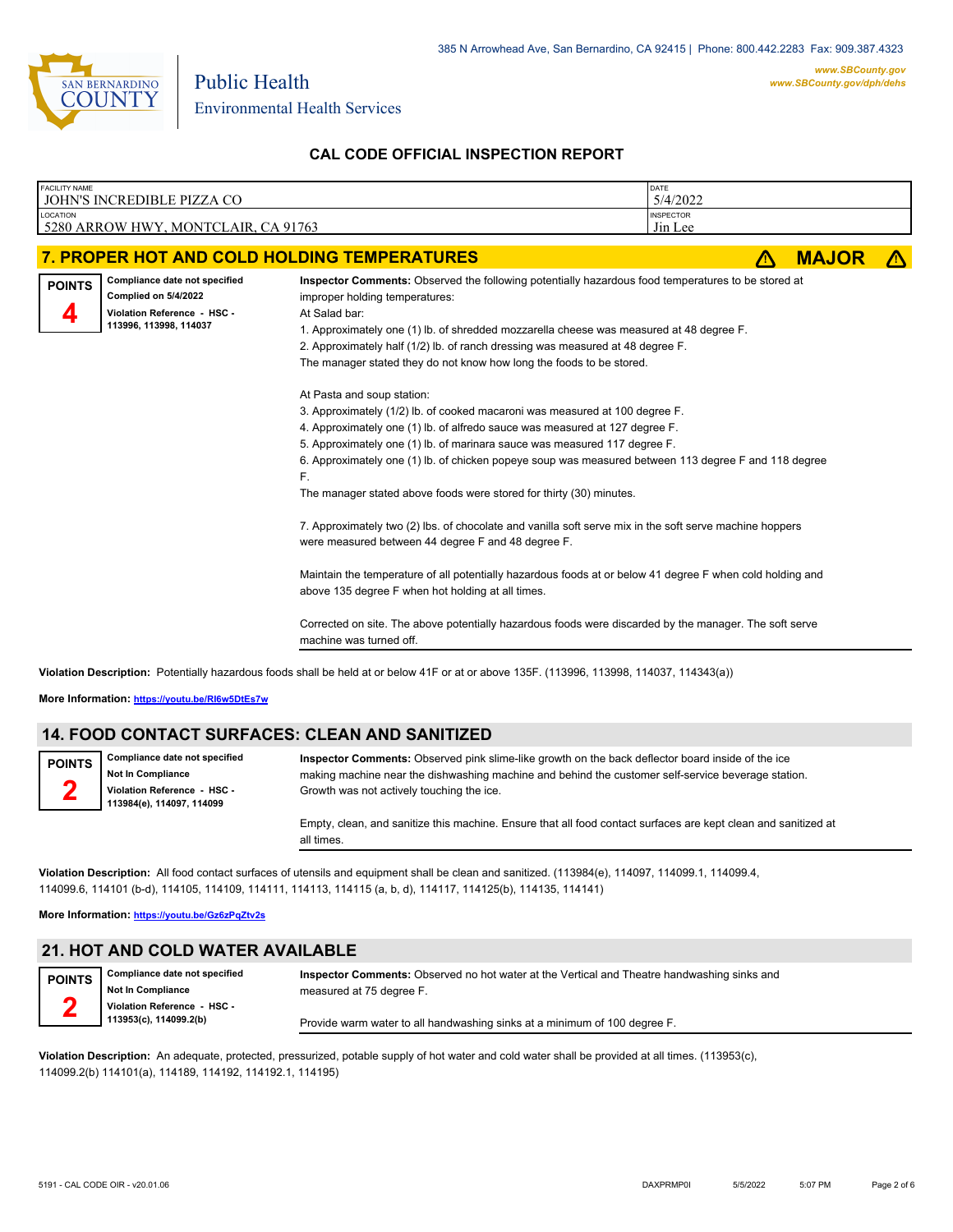

Environmental Health Services

Public Health

### **CAL CODE OFFICIAL INSPECTION REPORT**

| <b>FACILITY NAME</b><br>JOHN'S INCREDIBLE PIZZA CO                                                                              |                                                                                                                                                                                                                                                                                                                                                                                                                                                                                                                                                                                                                                                                                                                                                                                                                                                                                                                                                                                                                                                                                                                                                                                                                                                                                                                                                  | DATE<br>5/4/2022            |              |  |
|---------------------------------------------------------------------------------------------------------------------------------|--------------------------------------------------------------------------------------------------------------------------------------------------------------------------------------------------------------------------------------------------------------------------------------------------------------------------------------------------------------------------------------------------------------------------------------------------------------------------------------------------------------------------------------------------------------------------------------------------------------------------------------------------------------------------------------------------------------------------------------------------------------------------------------------------------------------------------------------------------------------------------------------------------------------------------------------------------------------------------------------------------------------------------------------------------------------------------------------------------------------------------------------------------------------------------------------------------------------------------------------------------------------------------------------------------------------------------------------------|-----------------------------|--------------|--|
| LOCATION<br>5280 ARROW HWY, MONTCLAIR, CA 91763                                                                                 |                                                                                                                                                                                                                                                                                                                                                                                                                                                                                                                                                                                                                                                                                                                                                                                                                                                                                                                                                                                                                                                                                                                                                                                                                                                                                                                                                  | <b>INSPECTOR</b><br>Jin Lee |              |  |
| 7. PROPER HOT AND COLD HOLDING TEMPERATURES                                                                                     |                                                                                                                                                                                                                                                                                                                                                                                                                                                                                                                                                                                                                                                                                                                                                                                                                                                                                                                                                                                                                                                                                                                                                                                                                                                                                                                                                  |                             | <b>MAJOR</b> |  |
| Compliance date not specified<br><b>POINTS</b><br>Complied on 5/4/2022<br>Violation Reference - HSC -<br>113996, 113998, 114037 | Inspector Comments: Observed the following potentially hazardous food temperatures to be stored at<br>improper holding temperatures:<br>At Salad bar:<br>1. Approximately one (1) lb. of shredded mozzarella cheese was measured at 48 degree F.<br>2. Approximately half (1/2) lb. of ranch dressing was measured at 48 degree F.<br>The manager stated they do not know how long the foods to be stored.<br>At Pasta and soup station:<br>3. Approximately (1/2) lb. of cooked macaroni was measured at 100 degree F.<br>4. Approximately one (1) lb. of alfredo sauce was measured at 127 degree F.<br>5. Approximately one (1) lb. of marinara sauce was measured 117 degree F.<br>6. Approximately one (1) lb. of chicken popeye soup was measured between 113 degree F and 118 degree<br>F.<br>The manager stated above foods were stored for thirty (30) minutes.<br>7. Approximately two (2) lbs. of chocolate and vanilla soft serve mix in the soft serve machine hoppers<br>were measured between 44 degree F and 48 degree F.<br>Maintain the temperature of all potentially hazardous foods at or below 41 degree F when cold holding and<br>above 135 degree F when hot holding at all times.<br>Corrected on site. The above potentially hazardous foods were discarded by the manager. The soft serve<br>machine was turned off. |                             |              |  |

**Violation Description:** Potentially hazardous foods shall be held at or below 41F or at or above 135F. (113996, 113998, 114037, 114343(a))

**More Information: <https://youtu.be/RI6w5DtEs7w>**

**Not In Compliance Violation Reference - HSC - 113984(e), 114097, 114099**

**Compliance date not specified**

#### **14. FOOD CONTACT SURFACES: CLEAN AND SANITIZED**

**POINTS 2**

**Inspector Comments:** Observed pink slime-like growth on the back deflector board inside of the ice making machine near the dishwashing machine and behind the customer self-service beverage station. Growth was not actively touching the ice.

Empty, clean, and sanitize this machine. Ensure that all food contact surfaces are kept clean and sanitized at all times.

**Violation Description:** All food contact surfaces of utensils and equipment shall be clean and sanitized. (113984(e), 114097, 114099.1, 114099.4, 114099.6, 114101 (b-d), 114105, 114109, 114111, 114113, 114115 (a, b, d), 114117, 114125(b), 114135, 114141)

**More Information: <https://youtu.be/Gz6zPqZtv2s>**

**Not In Compliance Violation Reference - HSC - 113953(c), 114099.2(b)**

#### **21. HOT AND COLD WATER AVAILABLE**

**Compliance date not specified**

**POINTS 2**

**Inspector Comments:** Observed no hot water at the Vertical and Theatre handwashing sinks and measured at 75 degree F.

Provide warm water to all handwashing sinks at a minimum of 100 degree F.

**Violation Description:** An adequate, protected, pressurized, potable supply of hot water and cold water shall be provided at all times. (113953(c), 114099.2(b) 114101(a), 114189, 114192, 114192.1, 114195)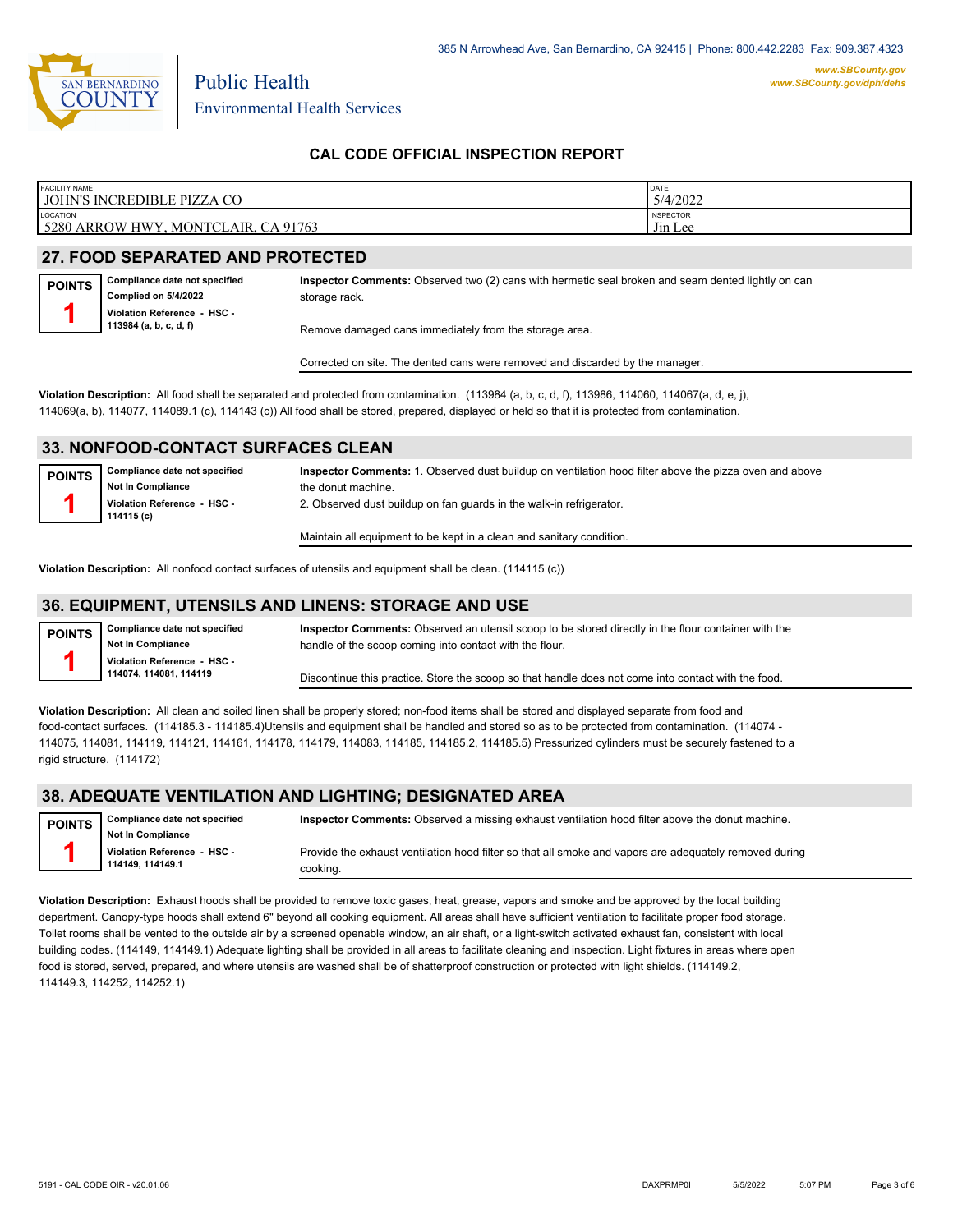

Environmental Health Services

Public Health

### **CAL CODE OFFICIAL INSPECTION REPORT**

| <b>FACILITY NAME</b>                                                                  | DATE                             |
|---------------------------------------------------------------------------------------|----------------------------------|
| JOHN'S INCREDIBLE PIZZA CO                                                            | 5/4/2022                         |
| <b>LOCATION</b><br>A 91763<br>5280<br>NTCL<br>AIR.<br><b>HWY</b><br>MON<br>ARR(<br>WC | <b>INSPECTOR</b><br>.<br>Jin Lee |

#### **27. FOOD SEPARATED AND PROTECTED**

**Compliance date not specified Complied on 5/4/2022 Violation Reference - HSC - 113984 (a, b, c, d, f) POINTS 1**

**Inspector Comments:** Observed two (2) cans with hermetic seal broken and seam dented lightly on can storage rack.

Remove damaged cans immediately from the storage area.

Corrected on site. The dented cans were removed and discarded by the manager.

**Violation Description:** All food shall be separated and protected from contamination. (113984 (a, b, c, d, f), 113986, 114060, 114067(a, d, e, j), 114069(a, b), 114077, 114089.1 (c), 114143 (c)) All food shall be stored, prepared, displayed or held so that it is protected from contamination.

#### **33. NONFOOD-CONTACT SURFACES CLEAN**

| <b>POINTS</b> | Compliance date not specified<br><b>Not In Compliance</b><br>Violation Reference - HSC -<br>114115 (c) | Inspector Comments: 1. Observed dust buildup on ventilation hood filter above the pizza oven and above<br>the donut machine.<br>2. Observed dust buildup on fan guards in the walk-in refrigerator. |
|---------------|--------------------------------------------------------------------------------------------------------|-----------------------------------------------------------------------------------------------------------------------------------------------------------------------------------------------------|
|               |                                                                                                        | Maintain all equipment to be kept in a clean and sanitary condition.                                                                                                                                |

**Violation Description:** All nonfood contact surfaces of utensils and equipment shall be clean. (114115 (c))

#### **36. EQUIPMENT, UTENSILS AND LINENS: STORAGE AND USE**

| <b>POINTS</b>            | Compliance date not specified | Inspector Comments: Observed an utensil scoop to be stored directly in the flour container with the |
|--------------------------|-------------------------------|-----------------------------------------------------------------------------------------------------|
| <b>Not In Compliance</b> |                               | handle of the scoop coming into contact with the flour.                                             |
|                          | Violation Reference - HSC -   |                                                                                                     |
|                          | 114074.114081.114119          | Discontinue this practice. Store the scoop so that handle does not come into contact with the food. |

**Violation Description:** All clean and soiled linen shall be properly stored; non-food items shall be stored and displayed separate from food and food-contact surfaces. (114185.3 - 114185.4)Utensils and equipment shall be handled and stored so as to be protected from contamination. (114074 - 114075, 114081, 114119, 114121, 114161, 114178, 114179, 114083, 114185, 114185.2, 114185.5) Pressurized cylinders must be securely fastened to a rigid structure. (114172)

#### **38. ADEQUATE VENTILATION AND LIGHTING; DESIGNATED AREA**

| <b>POINTS</b> | <b>Compliance date not specified</b><br><b>Not In Compliance</b> | Inspector Comments: Observed a missing exhaust ventilation hood filter above the donut machine.                    |
|---------------|------------------------------------------------------------------|--------------------------------------------------------------------------------------------------------------------|
|               | Violation Reference - HSC -<br>114149.114149.1                   | Provide the exhaust ventilation hood filter so that all smoke and vapors are adequately removed during<br>cooking. |

**Violation Description:** Exhaust hoods shall be provided to remove toxic gases, heat, grease, vapors and smoke and be approved by the local building department. Canopy-type hoods shall extend 6" beyond all cooking equipment. All areas shall have sufficient ventilation to facilitate proper food storage. Toilet rooms shall be vented to the outside air by a screened openable window, an air shaft, or a light-switch activated exhaust fan, consistent with local building codes. (114149, 114149.1) Adequate lighting shall be provided in all areas to facilitate cleaning and inspection. Light fixtures in areas where open food is stored, served, prepared, and where utensils are washed shall be of shatterproof construction or protected with light shields. (114149.2, 114149.3, 114252, 114252.1)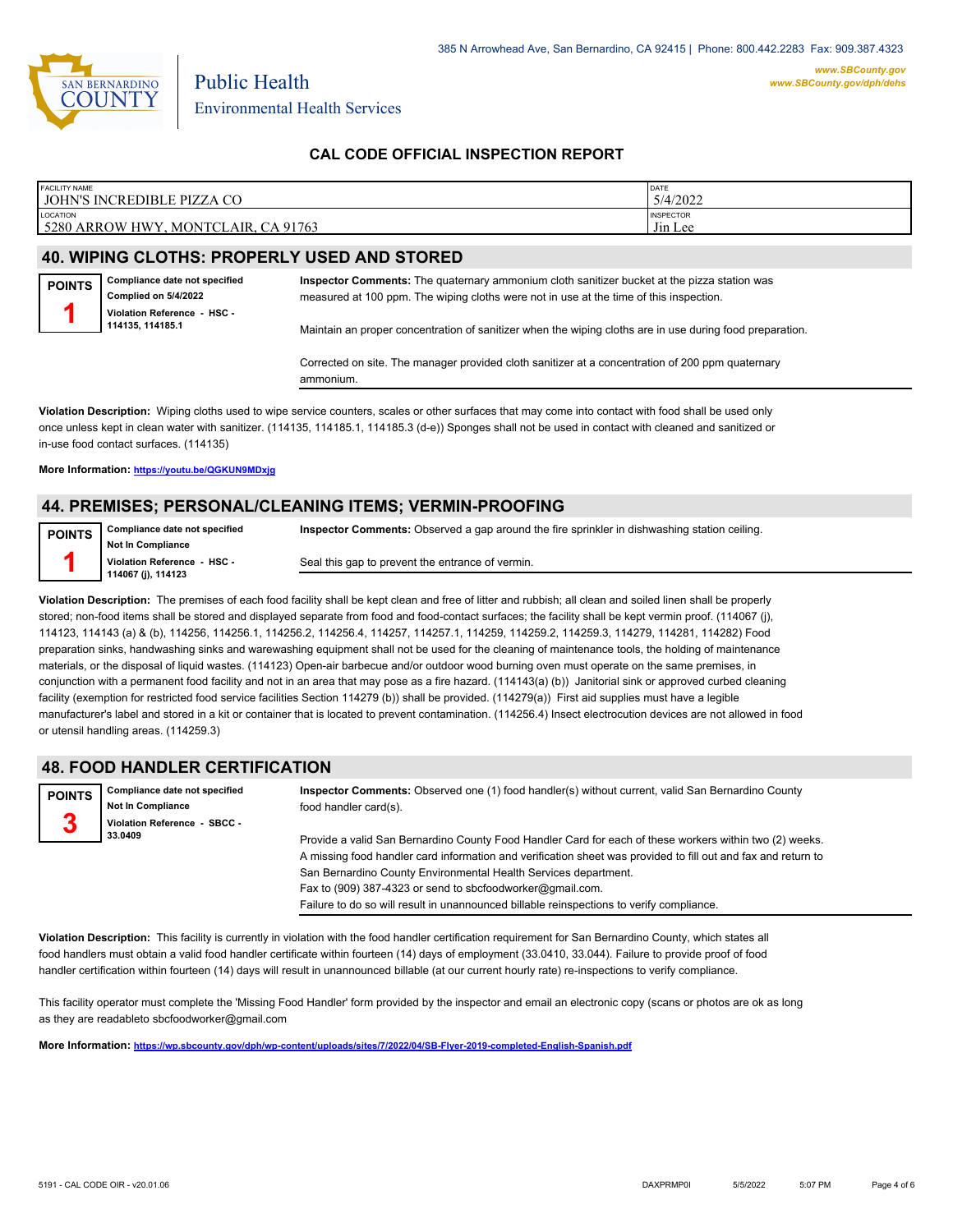

#### **CAL CODE OFFICIAL INSPECTION REPORT**

| <b>FACILITY NAME</b>                                          | <b>DATE</b>                 |
|---------------------------------------------------------------|-----------------------------|
| <b>JOHN'S INCREDIBLE PIZZA CO</b>                             | 5/4/2022                    |
| LOCATION<br>5280 ARROW HWY<br>CA 91763<br><b>MONTCLAIR, C</b> | <b>INSPECTOR</b><br>Jin Lee |

#### **40. WIPING CLOTHS: PROPERLY USED AND STORED**

**Compliance date not specified Complied on 5/4/2022 Violation Reference - HSC - 114135, 114185.1 POINTS 1**

**Inspector Comments:** The quaternary ammonium cloth sanitizer bucket at the pizza station was measured at 100 ppm. The wiping cloths were not in use at the time of this inspection.

Maintain an proper concentration of sanitizer when the wiping cloths are in use during food preparation.

Corrected on site. The manager provided cloth sanitizer at a concentration of 200 ppm quaternary ammonium.

**Violation Description:** Wiping cloths used to wipe service counters, scales or other surfaces that may come into contact with food shall be used only once unless kept in clean water with sanitizer. (114135, 114185.1, 114185.3 (d-e)) Sponges shall not be used in contact with cleaned and sanitized or in-use food contact surfaces. (114135)

#### **More Information: <https://youtu.be/QGKUN9MDxjg>**

#### **44. PREMISES; PERSONAL/CLEANING ITEMS; VERMIN-PROOFING**

| <b>POINTS</b> | Compliance date not specified | Inspector Comments: Observed a gap around the fire sprinkler in dishwashing station ceiling. |
|---------------|-------------------------------|----------------------------------------------------------------------------------------------|
|               | <b>Not In Compliance</b>      |                                                                                              |
|               | Violation Reference - HSC -   | Seal this gap to prevent the entrance of vermin.                                             |
|               | 114067 (j), 114123            |                                                                                              |

**Violation Description:** The premises of each food facility shall be kept clean and free of litter and rubbish; all clean and soiled linen shall be properly stored; non-food items shall be stored and displayed separate from food and food-contact surfaces; the facility shall be kept vermin proof. (114067 (j), 114123, 114143 (a) & (b), 114256, 114256.1, 114256.2, 114256.4, 114257, 114257.1, 114259, 114259.2, 114259.3, 114279, 114281, 114282) Food preparation sinks, handwashing sinks and warewashing equipment shall not be used for the cleaning of maintenance tools, the holding of maintenance materials, or the disposal of liquid wastes. (114123) Open-air barbecue and/or outdoor wood burning oven must operate on the same premises, in conjunction with a permanent food facility and not in an area that may pose as a fire hazard. (114143(a) (b)) Janitorial sink or approved curbed cleaning facility (exemption for restricted food service facilities Section 114279 (b)) shall be provided. (114279(a)) First aid supplies must have a legible manufacturer's label and stored in a kit or container that is located to prevent contamination. (114256.4) Insect electrocution devices are not allowed in food or utensil handling areas. (114259.3)

### **48. FOOD HANDLER CERTIFICATION**

| <b>POINTS</b><br>n | Compliance date not specified<br><b>Not In Compliance</b> | Inspector Comments: Observed one (1) food handler(s) without current, valid San Bernardino County<br>food handler card(s).                                                                                                                                                                  |
|--------------------|-----------------------------------------------------------|---------------------------------------------------------------------------------------------------------------------------------------------------------------------------------------------------------------------------------------------------------------------------------------------|
| 3                  | Violation Reference - SBCC -<br>33.0409                   | Provide a valid San Bernardino County Food Handler Card for each of these workers within two (2) weeks.<br>A missing food handler card information and verification sheet was provided to fill out and fax and return to<br>San Bernardino County Environmental Health Services department. |
|                    |                                                           | Fax to (909) 387-4323 or send to sbcfoodworker@gmail.com.                                                                                                                                                                                                                                   |

Failure to do so will result in unannounced billable reinspections to verify compliance.

**Violation Description:** This facility is currently in violation with the food handler certification requirement for San Bernardino County, which states all food handlers must obtain a valid food handler certificate within fourteen (14) days of employment (33.0410, 33.044). Failure to provide proof of food handler certification within fourteen (14) days will result in unannounced billable (at our current hourly rate) re-inspections to verify compliance.

This facility operator must complete the 'Missing Food Handler' form provided by the inspector and email an electronic copy (scans or photos are ok as long as they are readableto sbcfoodworker@gmail.com

**More Information: <https://wp.sbcounty.gov/dph/wp-content/uploads/sites/7/2022/04/SB-Flyer-2019-completed-English-Spanish.pdf>**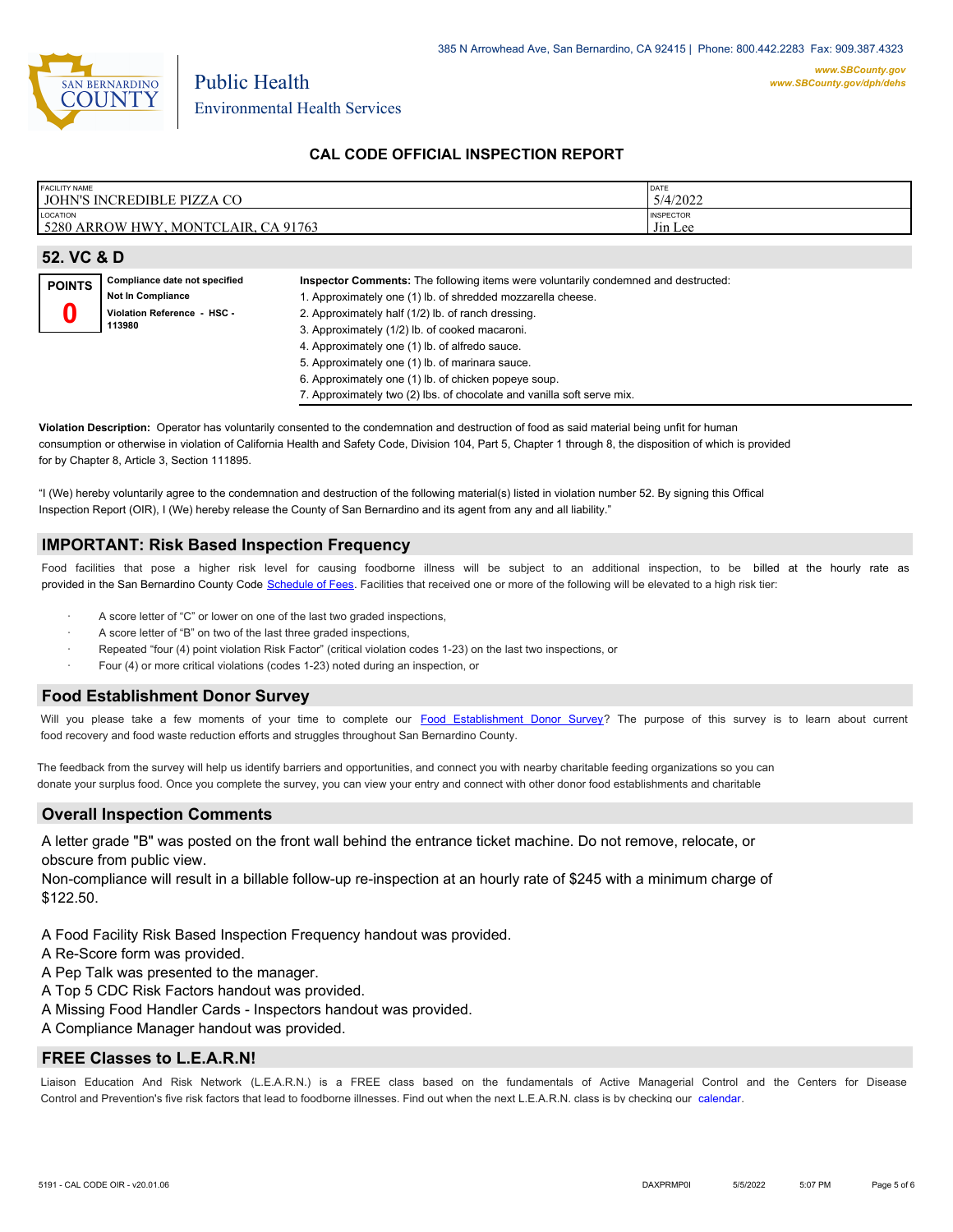

#### **CAL CODE OFFICIAL INSPECTION REPORT**

| <b>FACILITY NAME</b>                               | DATE                        |
|----------------------------------------------------|-----------------------------|
| <b>JOHN'S INCREDIBLE PIZZA CO</b>                  | 5/4/2022                    |
| LOCATION<br>5280 ARROW HWY.<br>MONTCLAIR. CA 91763 | <b>INSPECTOR</b><br>Jin Lee |

| 52. VC & D    |                                                                                                    |                                                                                                                                                                                                                                                                                                                                                                                                                                                                                                  |  |
|---------------|----------------------------------------------------------------------------------------------------|--------------------------------------------------------------------------------------------------------------------------------------------------------------------------------------------------------------------------------------------------------------------------------------------------------------------------------------------------------------------------------------------------------------------------------------------------------------------------------------------------|--|
| <b>POINTS</b> | Compliance date not specified<br><b>Not In Compliance</b><br>Violation Reference - HSC -<br>113980 | Inspector Comments: The following items were voluntarily condemned and destructed:<br>1. Approximately one (1) lb. of shredded mozzarella cheese.<br>2. Approximately half (1/2) lb. of ranch dressing.<br>3. Approximately (1/2) lb. of cooked macaroni.<br>4. Approximately one (1) lb. of alfredo sauce.<br>5. Approximately one (1) lb. of marinara sauce.<br>6. Approximately one (1) lb. of chicken popeye soup.<br>7. Approximately two (2) lbs. of chocolate and vanilla soft serve mix. |  |

**Violation Description:** Operator has voluntarily consented to the condemnation and destruction of food as said material being unfit for human consumption or otherwise in violation of California Health and Safety Code, Division 104, Part 5, Chapter 1 through 8, the disposition of which is provided for by Chapter 8, Article 3, Section 111895.

"I (We) hereby voluntarily agree to the condemnation and destruction of the following material(s) listed in violation number 52. By signing this Offical Inspection Report (OIR), I (We) hereby release the County of San Bernardino and its agent from any and all liability."

#### **IMPORTANT: Risk Based Inspection Frequency**

Food facilities that pose a higher risk level for causing foodborne illness will be subject to an additional inspection, to be billed at the hourly rate as provided in the San Bernardi[no County Code Schedule of Fees](https://codelibrary.amlegal.com/codes/sanbernardino/latest/sanberncty_ca/0-0-0-122474#JD_16.0213B). Facilities that received one or more of the following will be elevated to a high risk tier:

- A score letter of "C" or lower on one of the last two graded inspections,
- A score letter of "B" on two of the last three graded inspections,
- Repeated "four (4) point violation Risk Factor" (critical violation codes 1-23) on the last two inspections, or
- Four (4) or more critical violations (codes 1-23) noted during an inspection, or

#### **Food Establishment Donor Survey**

Will you please take a few moments of your time to co[mplete our Food Establishment Donor Survey?](https://survey123.arcgis.com/share/626bb0fb21674c82832b0c0d557c5e80?field:faid=FA0013487&field:facility_name=JOHN) The purpose of this survey is to learn about current food recovery and food waste reduction efforts and struggles throughout San Bernardino County.

The feedback from the survey will help us identify barriers and opportunities, and connect you with nearby charitable feeding organizations so you can donate your surplus fo[od. Once you complete the su](https://arcg.is/WvjGb)rvey, you can view your entry and connect with other donor food establishments and charitable

#### **Overall Inspection Comments**

A letter grade "B" was posted on the front wall behind the entrance ticket machine. Do not remove, relocate, or obscure from public view.

Non-compliance will result in a billable follow-up re-inspection at an hourly rate of \$245 with a minimum charge of \$122.50.

A Food Facility Risk Based Inspection Frequency handout was provided.

A Re-Score form was provided.

A Pep Talk was presented to the manager.

A Top 5 CDC Risk Factors handout was provided.

A Missing Food Handler Cards - Inspectors handout was provided.

A Compliance Manager handout was provided.

#### **FREE Classes to L.E.A.R.N!**

Liaison Education And Risk Network (L.E.A.R.N.) is a FREE class based on the fundamentals of Active Managerial [Control and the Centers](http://wp.sbcounty.gov/dph/events/) for Disease Control and Prevention's five risk factors that lead to foodborne illnesses. Find out when the next L.E.A.R.N. class is by checking our calendar.